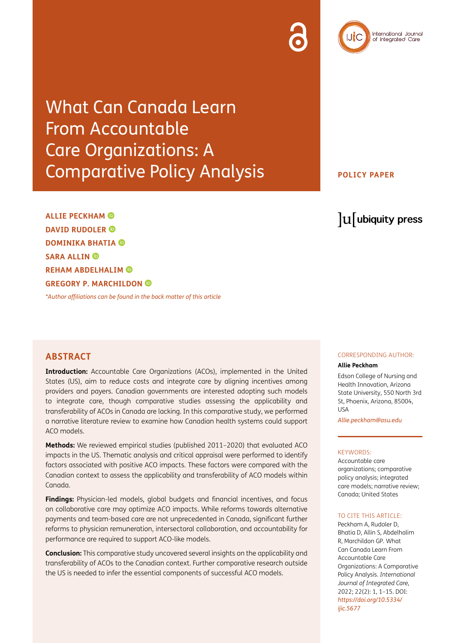What Can Canada Learn From Accountable Care Organizations: A Comparative Policy Analysis

lu ubiquity press

**ALLIE PECKHAM DAVID RUDOLER DOMINIKA BHATIA SARA ALLIN REHAM ABDELHALIM GREGORY P. MARCHILDON** 

*[\\*Author affiliations can be found in the back matter of this article](#page-9-0)*

**Introduction:** Accountable Care Organizations (ACOs), implemented in the United States (US), aim to reduce costs and integrate care by aligning incentives among providers and payers. Canadian governments are interested adopting such models to integrate care, though comparative studies assessing the applicability and transferability of ACOs in Canada are lacking. In this comparative study, we performed a narrative literature review to examine how Canadian health systems could support ACO models.

**Methods:** We reviewed empirical studies (published 2011–2020) that evaluated ACO impacts in the US. Thematic analysis and critical appraisal were performed to identify factors associated with positive ACO impacts. These factors were compared with the Canadian context to assess the applicability and transferability of ACO models within Canada.

**Findings:** Physician-led models, global budgets and financial incentives, and focus on collaborative care may optimize ACO impacts. While reforms towards alternative payments and team-based care are not unprecedented in Canada, significant further reforms to physician remuneration, intersectoral collaboration, and accountability for performance are required to support ACO-like models.

**Conclusion:** This comparative study uncovered several insights on the applicability and transferability of ACOs to the Canadian context. Further comparative research outside the US is needed to infer the essential components of successful ACO models.

#### **ABSTRACT** CORRESPONDING AUTHOR:

#### **Allie Peckham**

Edson College of Nursing and Health Innovation, Arizona State University, 550 North 3rd St, Phoenix, Arizona, 85004, USA

*[Allie.peckham@asu.edu](mailto:Allie.peckham@asu.edu)*

#### KEYWORDS:

Accountable care organizations; comparative policy analysis; integrated care models; narrative review; Canada; United States

#### TO CITE THIS ARTICLE:

Peckham A, Rudoler D, Bhatia D, Allin S, Abdelhalim R, Marchildon GP. What Can Canada Learn From Accountable Care Organizations: A Comparative Policy Analysis. *International Journal of Integrated Care,* 2022; 22(2): 1, 1–15. DOI: *[https://doi.org/10.5334/](https://doi.org/10.5334/ijic.5677) [ijic.5677](https://doi.org/10.5334/ijic.5677)*



**POLICY PAPER**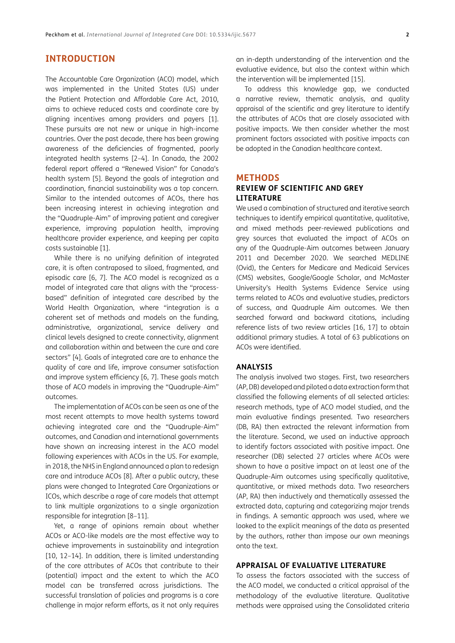## **INTRODUCTION**

The Accountable Care Organization (ACO) model, which was implemented in the United States (US) under the Patient Protection and Affordable Care Act, 2010, aims to achieve reduced costs and coordinate care by aligning incentives among providers and payers [\[1](#page-9-1)]. These pursuits are not new or unique in high-income countries. Over the past decade, there has been growing awareness of the deficiencies of fragmented, poorly integrated health systems [\[2](#page-9-1)–[4\]](#page-9-1). In Canada, the 2002 federal report offered a "Renewed Vision" for Canada's health system [[5](#page-10-0)]. Beyond the goals of integration and coordination, financial sustainability was a top concern. Similar to the intended outcomes of ACOs, there has been increasing interest in achieving integration and the "Quadruple-Aim" of improving patient and caregiver experience, improving population health, improving healthcare provider experience, and keeping per capita costs sustainable [[1\]](#page-9-1).

While there is no unifying definition of integrated care, it is often contraposed to siloed, fragmented, and episodic care [\[6](#page-10-0), [7](#page-10-0)]. The ACO model is recognized as a model of integrated care that aligns with the "processbased" definition of integrated care described by the World Health Organization, where "integration is a coherent set of methods and models on the funding, administrative, organizational, service delivery and clinical levels designed to create connectivity, alignment and collaboration within and between the cure and care sectors" [[4](#page-9-1)]. Goals of integrated care are to enhance the quality of care and life, improve consumer satisfaction and improve system efficiency [\[6, 7](#page-10-0)]. These goals match those of ACO models in improving the "Quadruple-Aim" outcomes.

The implementation of ACOs can be seen as one of the most recent attempts to move health systems toward achieving integrated care and the "Quadruple-Aim" outcomes, and Canadian and international governments have shown an increasing interest in the ACO model following experiences with ACOs in the US. For example, in 2018, the NHS in England announced a plan to redesign care and introduce ACOs [[8\]](#page-10-0). After a public outcry, these plans were changed to Integrated Care Organizations or ICOs, which describe a rage of care models that attempt to link multiple organizations to a single organization responsible for integration [[8–11\]](#page-10-0).

Yet, a range of opinions remain about whether ACOs or ACO-like models are the most effective way to achieve improvements in sustainability and integration [\[10,](#page-10-0) [12–14\]](#page-10-0). In addition, there is limited understanding of the core attributes of ACOs that contribute to their (potential) impact and the extent to which the ACO model can be transferred across jurisdictions. The successful translation of policies and programs is a core challenge in major reform efforts, as it not only requires an in-depth understanding of the intervention and the evaluative evidence, but also the context within which the intervention will be implemented [\[15\]](#page-10-0).

To address this knowledge gap, we conducted a narrative review, thematic analysis, and quality appraisal of the scientific and grey literature to identify the attributes of ACOs that are closely associated with positive impacts. We then consider whether the most prominent factors associated with positive impacts can be adopted in the Canadian healthcare context.

## **METHODS**

## **REVIEW OF SCIENTIFIC AND GREY LITERATURE**

We used a combination of structured and iterative search techniques to identify empirical quantitative, qualitative, and mixed methods peer-reviewed publications and grey sources that evaluated the impact of ACOs on any of the Quadruple-Aim outcomes between January 2011 and December 2020. We searched MEDLINE (Ovid), the Centers for Medicare and Medicaid Services (CMS) websites, Google/Google Scholar, and McMaster University's Health Systems Evidence Service using terms related to ACOs and evaluative studies, predictors of success, and Quadruple Aim outcomes. We then searched forward and backward citations, including reference lists of two review articles [\[16,](#page-10-0) [17\]](#page-10-0) to obtain additional primary studies. A total of 63 publications on ACOs were identified.

#### **ANALYSIS**

The analysis involved two stages. First, two researchers (AP, DB) developed and piloted a data extraction form that classified the following elements of all selected articles: research methods, type of ACO model studied, and the main evaluative findings presented. Two researchers (DB, RA) then extracted the relevant information from the literature. Second, we used an inductive approach to identify factors associated with positive impact. One researcher (DB) selected 27 articles where ACOs were shown to have a positive impact on at least one of the Quadruple-Aim outcomes using specifically qualitative, quantitative, or mixed methods data. Two researchers (AP, RA) then inductively and thematically assessed the extracted data, capturing and categorizing major trends in findings. A semantic approach was used, where we looked to the explicit meanings of the data as presented by the authors, rather than impose our own meanings onto the text.

#### **APPRAISAL OF EVALUATIVE LITERATURE**

To assess the factors associated with the success of the ACO model, we conducted a critical appraisal of the methodology of the evaluative literature. Qualitative methods were appraised using the Consolidated criteria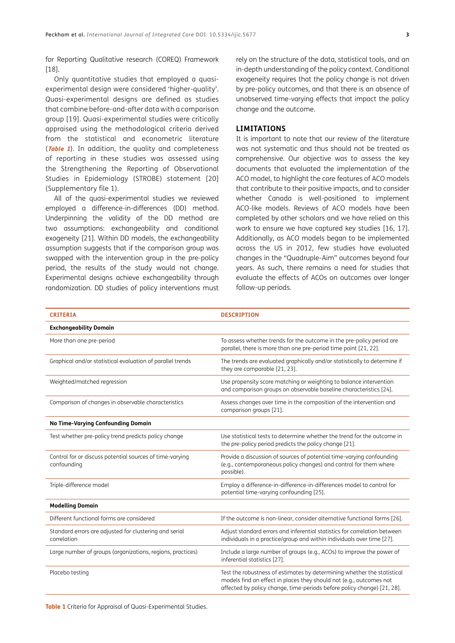for Reporting Qualitative research (COREQ) Framework [\[18\]](#page-10-0).

Only quantitative studies that employed a quasiexperimental design were considered 'higher-quality'. Quasi-experimental designs are defined as studies that combine before-and-after data with a comparison group [[19\]](#page-10-0). Quasi-experimental studies were critically appraised using the methodological criteria derived from the statistical and econometric literature (**[Table 1](#page-2-0)**). In addition, the quality and completeness of reporting in these studies was assessed using the Strengthening the Reporting of Observational Studies in Epidemiology (STROBE) statement [[20](#page-10-0)] (Supplementary file 1).

All of the quasi-experimental studies we reviewed employed a difference-in-differences (DD) method. Underpinning the validity of the DD method are two assumptions: exchangeability and conditional exogeneity [[21\]](#page-10-0). Within DD models, the exchangeability assumption suggests that if the comparison group was swapped with the intervention group in the pre-policy period, the results of the study would not change. Experimental designs achieve exchangeability through randomization. DD studies of policy interventions must

rely on the structure of the data, statistical tools, and an in-depth understanding of the policy context. Conditional exogeneity requires that the policy change is not driven by pre-policy outcomes, and that there is an absence of unobserved time-varying effects that impact the policy change and the outcome.

#### **LIMITATIONS**

It is important to note that our review of the literature was not systematic and thus should not be treated as comprehensive. Our objective was to assess the key documents that evaluated the implementation of the ACO model, to highlight the core features of ACO models that contribute to their positive impacts, and to consider whether Canada is well-positioned to implement ACO-like models. Reviews of ACO models have been completed by other scholars and we have relied on this work to ensure we have captured key studies [\[16,](#page-10-0) [17\]](#page-10-0). Additionally, as ACO models began to be implemented across the US in 2012, few studies have evaluated changes in the "Quadruple-Aim" outcomes beyond four years. As such, there remains a need for studies that evaluate the effects of ACOs on outcomes over longer follow-up periods.

<span id="page-2-0"></span>

| <b>CRITERIA</b>                                                         | <b>DESCRIPTION</b>                                                                                                                                                                                                        |
|-------------------------------------------------------------------------|---------------------------------------------------------------------------------------------------------------------------------------------------------------------------------------------------------------------------|
| <b>Exchangeability Domain</b>                                           |                                                                                                                                                                                                                           |
| More than one pre-period                                                | To assess whether trends for the outcome in the pre-policy period are<br>parallel, there is more than one pre-period time point [21, 22].                                                                                 |
| Graphical and/or statistical evaluation of parallel trends              | The trends are evaluated graphically and/or statistically to determine if<br>they are comparable [21, 23].                                                                                                                |
| Weighted/matched regression                                             | Use propensity score matching or weighting to balance intervention<br>and comparison groups on observable baseline characteristics [24].                                                                                  |
| Comparison of changes in observable characteristics                     | Assess changes over time in the composition of the intervention and<br>comparison groups [21].                                                                                                                            |
| No Time-Varying Confounding Domain                                      |                                                                                                                                                                                                                           |
| Test whether pre-policy trend predicts policy change                    | Use statistical tests to determine whether the trend for the outcome in<br>the pre-policy period predicts the policy change [21].                                                                                         |
| Control for or discuss potential sources of time-varying<br>confounding | Provide a discussion of sources of potential time-varying confounding<br>(e.g., contemporaneous policy changes) and control for them where<br>possible).                                                                  |
| Triple-difference model                                                 | Employ a difference-in-difference-in-differences model to control for<br>potential time-varying confounding [25].                                                                                                         |
| <b>Modelling Domain</b>                                                 |                                                                                                                                                                                                                           |
| Different functional forms are considered                               | If the outcome is non-linear, consider alternative functional forms [26].                                                                                                                                                 |
| Standard errors are adjusted for clustering and serial<br>correlation   | Adjust standard errors and inferential statistics for correlation between<br>individuals in a practice/group and within individuals over time [27].                                                                       |
| Large number of groups (organizations, regions, practices)              | Include a large number of groups (e.g., ACOs) to improve the power of<br>inferential statistics [27].                                                                                                                     |
| Placebo testing                                                         | Test the robustness of estimates by determining whether the statistical<br>models find an effect in places they should not (e.g., outcomes not<br>affected by policy change, time-periods before policy change) [21, 28]. |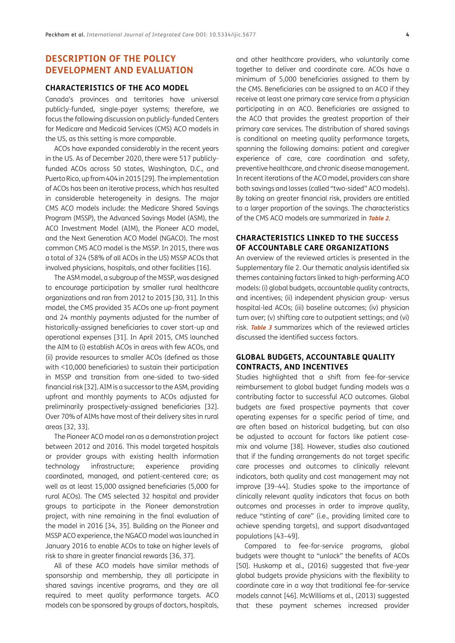## **DESCRIPTION OF THE POLICY DEVELOPMENT AND EVALUATION**

#### **CHARACTERISTICS OF THE ACO MODEL**

Canada's provinces and territories have universal publicly-funded, single-payer systems; therefore, we focus the following discussion on publicly-funded Centers for Medicare and Medicaid Services (CMS) ACO models in the US, as this setting is more comparable.

ACOs have expanded considerably in the recent years in the US. As of December 2020, there were 517 publiclyfunded ACOs across 50 states, Washington, D.C., and Puerto Rico, up from 404 in 2015 [[29](#page-10-0)]. The implementation of ACOs has been an iterative process, which has resulted in considerable heterogeneity in designs. The major CMS ACO models include: the Medicare Shared Savings Program (MSSP), the Advanced Savings Model (ASM), the ACO Investment Model (AIM), the Pioneer ACO model, and the Next Generation ACO Model (NGACO). The most common CMS ACO model is the MSSP. In 2015, there was a total of 324 (58% of all ACOs in the US) MSSP ACOs that involved physicians, hospitals, and other facilities [[16\]](#page-10-0).

The ASM model, a subgroup of the MSSP, was designed to encourage participation by smaller rural healthcare organizations and ran from 2012 to 2015 [[30](#page-10-0), [31\]](#page-11-0). In this model, the CMS provided 35 ACOs one up-front payment and 24 monthly payments adjusted for the number of historically-assigned beneficiaries to cover start-up and operational expenses [[31](#page-11-0)]. In April 2015, CMS launched the AIM to (i) establish ACOs in areas with few ACOs, and (ii) provide resources to smaller ACOs (defined as those with <10,000 beneficiaries) to sustain their participation in MSSP and transition from one-sided to two-sided financial risk [\[32\]](#page-11-0). AIM is a successor to the ASM, providing upfront and monthly payments to ACOs adjusted for preliminarily prospectively-assigned beneficiaries [[32](#page-11-0)]. Over 70% of AIMs have most of their delivery sites in rural areas [[32](#page-11-0), [33\]](#page-11-0).

The Pioneer ACO model ran as a demonstration project between 2012 and 2016. This model targeted hospitals or provider groups with existing health information technology infrastructure; experience providing coordinated, managed, and patient-centered care; as well as at least 15,000 assigned beneficiaries (5,000 for rural ACOs). The CMS selected 32 hospital and provider groups to participate in the Pioneer demonstration project, with nine remaining in the final evaluation of the model in 2016 [[34,](#page-11-0) [35](#page-11-0)]. Building on the Pioneer and MSSP ACO experience, the NGACO model was launched in January 2016 to enable ACOs to take on higher levels of risk to share in greater financial rewards [[36](#page-11-0), [37\]](#page-11-0).

All of these ACO models have similar methods of sponsorship and membership, they all participate in shared savings incentive programs, and they are all required to meet quality performance targets. ACO models can be sponsored by groups of doctors, hospitals, and other healthcare providers, who voluntarily come together to deliver and coordinate care. ACOs have a minimum of 5,000 beneficiaries assigned to them by the CMS. Beneficiaries can be assigned to an ACO if they receive at least one primary care service from a physician participating in an ACO. Beneficiaries are assigned to the ACO that provides the greatest proportion of their primary care services. The distribution of shared savings is conditional on meeting quality performance targets, spanning the following domains: patient and caregiver experience of care, care coordination and safety, preventive healthcare, and chronic disease management. In recent iterations of the ACO model, providers can share both savings and losses (called "two-sided" ACO models). By taking on greater financial risk, providers are entitled to a larger proportion of the savings. The characteristics of the CMS ACO models are summarized in **[Table 2](#page-4-0)**.

## **CHARACTERISTICS LINKED TO THE SUCCESS OF ACCOUNTABLE CARE ORGANIZATIONS**

An overview of the reviewed articles is presented in the Supplementary file 2. Our thematic analysis identified six themes containing factors linked to high-performing ACO models: (i) global budgets, accountable quality contracts, and incentives; (ii) independent physician group- versus hospital-led ACOs; (iii) baseline outcomes; (iv) physician turn over; (v) shifting care to outpatient settings; and (vi) risk. **[Table 3](#page-5-0)** summarizes which of the reviewed articles discussed the identified success factors.

## **GLOBAL BUDGETS, ACCOUNTABLE QUALITY CONTRACTS, AND INCENTIVES**

Studies highlighted that a shift from fee-for-service reimbursement to global budget funding models was a contributing factor to successful ACO outcomes. Global budgets are fixed prospective payments that cover operating expenses for a specific period of time, and are often based on historical budgeting, but can also be adjusted to account for factors like patient casemix and volume [\[38](#page-11-0)]. However, studies also cautioned that if the funding arrangements do not target specific care processes and outcomes to clinically relevant indicators, both quality and cost management may not improve [\[39](#page-11-0)–[44](#page-11-0)]. Studies spoke to the importance of clinically relevant quality indicators that focus on both outcomes and processes in order to improve quality, reduce "stinting of care" (i.e., providing limited care to achieve spending targets), and support disadvantaged populations [\[43–49\]](#page-11-0).

Compared to fee-for-service programs, global budgets were thought to "unlock" the benefits of ACOs [[50](#page-11-0)]. Huskamp et al., (2016) suggested that five-year global budgets provide physicians with the flexibility to coordinate care in a way that traditional fee-for-service models cannot [[46\]](#page-11-0). McWilliams et al., (2013) suggested that these payment schemes increased provider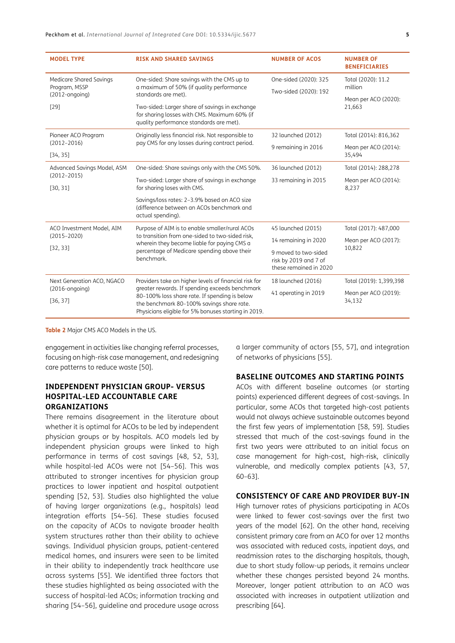| <b>MODEL TYPE</b>                                                    | <b>RISK AND SHARED SAVINGS</b>                                                                                                                                                                       | <b>NUMBER OF ACOS</b>                                                   | <b>NUMBER OF</b><br><b>BENEFICIARIES</b>                        |  |
|----------------------------------------------------------------------|------------------------------------------------------------------------------------------------------------------------------------------------------------------------------------------------------|-------------------------------------------------------------------------|-----------------------------------------------------------------|--|
| <b>Medicare Shared Savings</b><br>Program, MSSP<br>$(2012$ -ongoing) | One-sided: Share savings with the CMS up to<br>a maximum of 50% (if quality performance<br>standards are met).                                                                                       | One-sided (2020): 325<br>Two-sided (2020): 192                          | Total (2020): 11.2<br>million<br>Mean per ACO (2020):<br>21,663 |  |
| $[29]$                                                               | Two-sided: Larger share of savings in exchange<br>for sharing losses with CMS. Maximum 60% (if<br>quality performance standards are met).                                                            |                                                                         |                                                                 |  |
| Pioneer ACO Program                                                  | Originally less financial risk. Not responsible to                                                                                                                                                   | 32 launched (2012)                                                      | Total (2014): 816,362                                           |  |
| $(2012 - 2016)$<br>[34, 35]                                          | pay CMS for any losses during contract period.                                                                                                                                                       | 9 remaining in 2016                                                     | Mean per ACO (2014):<br>35,494                                  |  |
| Advanced Savings Model, ASM                                          | One-sided: Share savings only with the CMS 50%.                                                                                                                                                      | 36 launched (2012)                                                      | Total (2014): 288,278                                           |  |
| $(2012 - 2015)$<br>[30, 31]                                          | Two-sided: Larger share of savings in exchange<br>for sharing loses with CMS.                                                                                                                        | 33 remaining in 2015                                                    | Mean per ACO (2014):<br>8,237                                   |  |
|                                                                      | Savings/loss rates: 2-3.9% based on ACO size<br>(difference between an ACOs benchmark and<br>actual spending).                                                                                       |                                                                         |                                                                 |  |
| ACO Investment Model, AIM                                            | Purpose of AIM is to enable smaller/rural ACOs                                                                                                                                                       | 45 launched (2015)                                                      | Total (2017): 487,000                                           |  |
| $(2015 - 2020)$                                                      | to transition from one-sided to two-sided risk,<br>wherein they become liable for paying CMS a                                                                                                       | 14 remaining in 2020                                                    | Mean per ACO (2017):<br>10,822                                  |  |
| [32, 33]                                                             | percentage of Medicare spending above their<br>benchmark.                                                                                                                                            | 9 moved to two-sided<br>risk by 2019 and 7 of<br>these remained in 2020 |                                                                 |  |
| Next Generation ACO, NGACO                                           | Providers take on higher levels of financial risk for                                                                                                                                                | 18 launched (2016)                                                      | Total (2019): 1,399,398                                         |  |
| $(2016$ -ongoing)<br>[36, 37]                                        | greater rewards. If spending exceeds benchmark<br>80-100% loss share rate. If spending is below<br>the benchmark 80-100% savings share rate.<br>Physicians eligible for 5% bonuses starting in 2019. | 41 operating in 2019                                                    | Mean per ACO (2019):<br>34,132                                  |  |

<span id="page-4-0"></span>**Table 2** Major CMS ACO Models in the US.

engagement in activities like changing referral processes, focusing on high-risk case management, and redesigning care patterns to reduce waste [[50](#page-11-0)].

## **INDEPENDENT PHYSICIAN GROUP- VERSUS HOSPITAL-LED ACCOUNTABLE CARE ORGANIZATIONS**

There remains disagreement in the literature about whether it is optimal for ACOs to be led by independent physician groups or by hospitals. ACO models led by independent physician groups were linked to high performance in terms of cost savings [\[48](#page-11-0), [52](#page-11-0), [53](#page-11-0)], while hospital-led ACOs were not [[54–56\]](#page-12-0). This was attributed to stronger incentives for physician group practices to lower inpatient and hospital outpatient spending [\[52,](#page-11-0) [53\]](#page-11-0). Studies also highlighted the value of having larger organizations (e.g., hospitals) lead integration efforts [[54](#page-12-0)–[56](#page-12-0)]. These studies focused on the capacity of ACOs to navigate broader health system structures rather than their ability to achieve savings. Individual physician groups, patient-centered medical homes, and insurers were seen to be limited in their ability to independently track healthcare use across systems [[55](#page-12-0)]. We identified three factors that these studies highlighted as being associated with the success of hospital-led ACOs; information tracking and sharing [[54](#page-12-0)–[56\]](#page-12-0), guideline and procedure usage across

a larger community of actors [\[55,](#page-12-0) [57\]](#page-12-0), and integration of networks of physicians [[55](#page-12-0)].

#### **BASELINE OUTCOMES AND STARTING POINTS**

ACOs with different baseline outcomes (or starting points) experienced different degrees of cost-savings. In particular, some ACOs that targeted high-cost patients would not always achieve sustainable outcomes beyond the first few years of implementation [\[58,](#page-12-0) [59\]](#page-12-0). Studies stressed that much of the cost-savings found in the first two years were attributed to an initial focus on case management for high-cost, high-risk, clinically vulnerable, and medically complex patients [\[43,](#page-11-0) [57,](#page-12-0) [60](#page-12-0)–[63](#page-12-0)].

#### **CONSISTENCY OF CARE AND PROVIDER BUY-IN**

High turnover rates of physicians participating in ACOs were linked to fewer cost-savings over the first two years of the model [[62](#page-12-0)]. On the other hand, receiving consistent primary care from an ACO for over 12 months was associated with reduced costs, inpatient days, and readmission rates to the discharging hospitals, though, due to short study follow-up periods, it remains unclear whether these changes persisted beyond 24 months. Moreover, longer patient attribution to an ACO was associated with increases in outpatient utilization and prescribing [[64](#page-12-0)].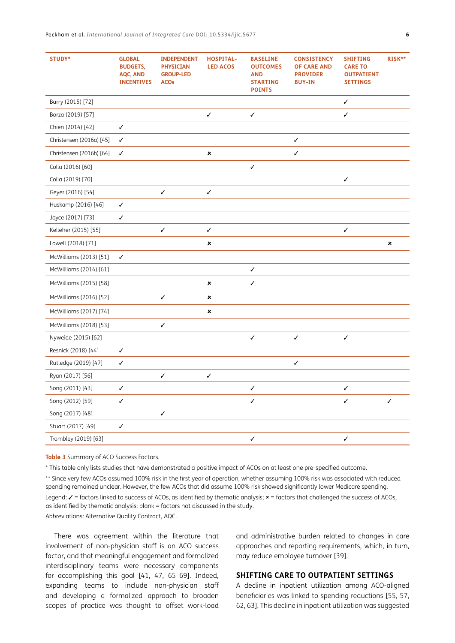| STUDY*                   | <b>GLOBAL</b><br><b>BUDGETS,</b><br>AQC, AND<br><b>INCENTIVES</b> | <b>INDEPENDENT</b><br><b>PHYSICIAN</b><br><b>GROUP-LED</b><br><b>ACOs</b> | <b>HOSPITAL-</b><br><b>LED ACOS</b> | <b>BASELINE</b><br><b>OUTCOMES</b><br><b>AND</b><br><b>STARTING</b><br><b>POINTS</b> | <b>CONSISTENCY</b><br><b>OF CARE AND</b><br><b>PROVIDER</b><br><b>BUY-IN</b> | <b>SHIFTING</b><br><b>CARE TO</b><br><b>OUTPATIENT</b><br><b>SETTINGS</b> | RISK**       |
|--------------------------|-------------------------------------------------------------------|---------------------------------------------------------------------------|-------------------------------------|--------------------------------------------------------------------------------------|------------------------------------------------------------------------------|---------------------------------------------------------------------------|--------------|
| Barry (2015) [72]        |                                                                   |                                                                           |                                     |                                                                                      |                                                                              | ✓                                                                         |              |
| Borza (2019) [57]        |                                                                   |                                                                           | ✓                                   | ✓                                                                                    |                                                                              | √                                                                         |              |
| Chien (2014) [42]        | ✓                                                                 |                                                                           |                                     |                                                                                      |                                                                              |                                                                           |              |
| Christensen (2016a) [45] | ✓                                                                 |                                                                           |                                     |                                                                                      | $\checkmark$                                                                 |                                                                           |              |
| Christensen (2016b) [64] | ✓                                                                 |                                                                           | $\pmb{\times}$                      |                                                                                      | ✓                                                                            |                                                                           |              |
| Colla (2016) [60]        |                                                                   |                                                                           |                                     | ✓                                                                                    |                                                                              |                                                                           |              |
| Colla (2019) [70]        |                                                                   |                                                                           |                                     |                                                                                      |                                                                              | ✓                                                                         |              |
| Geyer (2016) [54]        |                                                                   | ✓                                                                         | ✓                                   |                                                                                      |                                                                              |                                                                           |              |
| Huskamp (2016) [46]      | ✓                                                                 |                                                                           |                                     |                                                                                      |                                                                              |                                                                           |              |
| Joyce (2017) [73]        | ✓                                                                 |                                                                           |                                     |                                                                                      |                                                                              |                                                                           |              |
| Kelleher (2015) [55]     |                                                                   | ✓                                                                         | $\checkmark$                        |                                                                                      |                                                                              | $\checkmark$                                                              |              |
| Lowell (2018) [71]       |                                                                   |                                                                           | ×                                   |                                                                                      |                                                                              |                                                                           | ×            |
| McWilliams (2013) [51]   | ✓                                                                 |                                                                           |                                     |                                                                                      |                                                                              |                                                                           |              |
| McWilliams (2014) [61]   |                                                                   |                                                                           |                                     | $\checkmark$                                                                         |                                                                              |                                                                           |              |
| McWilliams (2015) [58]   |                                                                   |                                                                           | ×                                   | ✓                                                                                    |                                                                              |                                                                           |              |
| McWilliams (2016) [52]   |                                                                   | ✓                                                                         | ×                                   |                                                                                      |                                                                              |                                                                           |              |
| McWilliams (2017) [74]   |                                                                   |                                                                           | ×                                   |                                                                                      |                                                                              |                                                                           |              |
| McWilliams (2018) [53]   |                                                                   | ✓                                                                         |                                     |                                                                                      |                                                                              |                                                                           |              |
| Nyweide (2015) [62]      |                                                                   |                                                                           |                                     | ✓                                                                                    | $\checkmark$                                                                 | $\checkmark$                                                              |              |
| Resnick (2018) [44]      | $\checkmark$                                                      |                                                                           |                                     |                                                                                      |                                                                              |                                                                           |              |
| Rutledge (2019) [47]     | √                                                                 |                                                                           |                                     |                                                                                      | ✓                                                                            |                                                                           |              |
| Ryan (2017) [56]         |                                                                   | ✓                                                                         | ✓                                   |                                                                                      |                                                                              |                                                                           |              |
| Song (2011) [43]         | ✓                                                                 |                                                                           |                                     | ✓                                                                                    |                                                                              | ✓                                                                         |              |
| Song (2012) [59]         | ✓                                                                 |                                                                           |                                     | ✓                                                                                    |                                                                              | ✓                                                                         | $\checkmark$ |
| Song (2017) [48]         |                                                                   | ✓                                                                         |                                     |                                                                                      |                                                                              |                                                                           |              |
| Stuart (2017) [49]       | ✓                                                                 |                                                                           |                                     |                                                                                      |                                                                              |                                                                           |              |
| Trombley (2019) [63]     |                                                                   |                                                                           |                                     | $\checkmark$                                                                         |                                                                              | $\checkmark$                                                              |              |

<span id="page-5-0"></span>**Table 3** Summary of ACO Success Factors.

\* This table only lists studies that have demonstrated a positive impact of ACOs on at least one pre-specified outcome.

\*\* Since very few ACOs assumed 100% risk in the first year of operation, whether assuming 100% risk was associated with reduced spending remained unclear. However, the few ACOs that did assume 100% risk showed significantly lower Medicare spending.

Legend:  $\checkmark$  = factors linked to success of ACOs, as identified by thematic analysis;  $*$  = factors that challenged the success of ACOs, as identified by thematic analysis; blank = factors not discussed in the study.

Abbreviations: Alternative Quality Contract, AQC.

There was agreement within the literature that involvement of non-physician staff is an ACO success factor, and that meaningful engagement and formalized interdisciplinary teams were necessary components for accomplishing this goal [\[41,](#page-11-0) [47](#page-11-0), [65](#page-12-0)–[69](#page-12-0)]. Indeed, expanding teams to include non-physician staff and developing a formalized approach to broaden scopes of practice was thought to offset work-load and administrative burden related to changes in care approaches and reporting requirements, which, in turn, may reduce employee turnover [[39](#page-11-0)].

#### **SHIFTING CARE TO OUTPATIENT SETTINGS**

A decline in inpatient utilization among ACO-aligned beneficiaries was linked to spending reductions [[55](#page-12-0), [57,](#page-12-0) [62](#page-12-0), [63\]](#page-12-0). This decline in inpatient utilization was suggested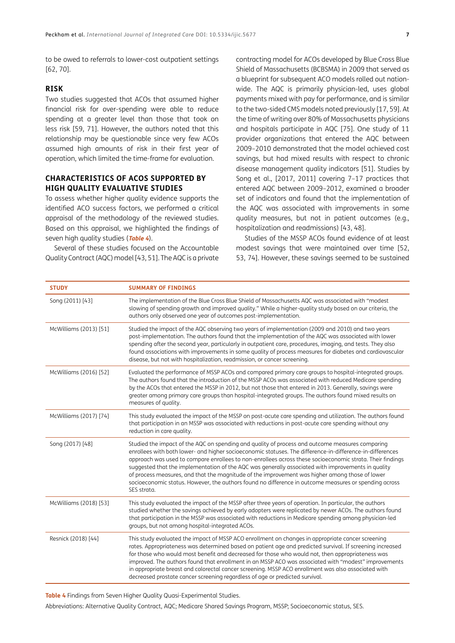to be owed to referrals to lower-cost outpatient settings [\[62, 70\]](#page-12-0).

#### **RISK**

Two studies suggested that ACOs that assumed higher financial risk for over-spending were able to reduce spending at a greater level than those that took on less risk [[59](#page-12-0), [71](#page-12-0)]. However, the authors noted that this relationship may be questionable since very few ACOs assumed high amounts of risk in their first year of operation, which limited the time-frame for evaluation.

## **CHARACTERISTICS OF ACOS SUPPORTED BY HIGH QUALITY EVALUATIVE STUDIES**

To assess whether higher quality evidence supports the identified ACO success factors, we performed a critical appraisal of the methodology of the reviewed studies. Based on this appraisal, we highlighted the findings of seven high quality studies (**[Table 4](#page-6-0)**).

Several of these studies focused on the Accountable Quality Contract (AQC) model [\[43, 51\]](#page-11-0). The AQC is a private contracting model for ACOs developed by Blue Cross Blue Shield of Massachusetts (BCBSMA) in 2009 that served as a blueprint for subsequent ACO models rolled out nationwide. The AQC is primarily physician-led, uses global payments mixed with pay for performance, and is similar to the two-sided CMS models noted previously [[17](#page-10-0), [59](#page-12-0)]. At the time of writing over 80% of Massachusetts physicians and hospitals participate in AQC [[75](#page-12-0)]. One study of 11 provider organizations that entered the AQC between 2009–2010 demonstrated that the model achieved cost savings, but had mixed results with respect to chronic disease management quality indicators [[51](#page-11-0)]. Studies by Song et al., [2017, 2011] covering 7–17 practices that entered AQC between 2009–2012, examined a broader set of indicators and found that the implementation of the AQC was associated with improvements in some quality measures, but not in patient outcomes (e.g., hospitalization and readmissions) [[43, 48\]](#page-11-0).

Studies of the MSSP ACOs found evidence of at least modest savings that were maintained over time [\[52,](#page-11-0) [53](#page-11-0), [74](#page-12-0)]. However, these savings seemed to be sustained

| <b>STUDY</b>           | <b>SUMMARY OF FINDINGS</b>                                                                                                                                                                                                                                                                                                                                                                                                                                                                                                                                                                                                                                |
|------------------------|-----------------------------------------------------------------------------------------------------------------------------------------------------------------------------------------------------------------------------------------------------------------------------------------------------------------------------------------------------------------------------------------------------------------------------------------------------------------------------------------------------------------------------------------------------------------------------------------------------------------------------------------------------------|
| Song (2011) [43]       | The implementation of the Blue Cross Blue Shield of Massachusetts AQC was associated with "modest<br>slowing of spending growth and improved quality." While a higher-quality study based on our criteria, the<br>authors only observed one year of outcomes post-implementation.                                                                                                                                                                                                                                                                                                                                                                         |
| McWilliams (2013) [51] | Studied the impact of the AQC observing two years of implementation (2009 and 2010) and two years<br>post-implementation. The authors found that the implementation of the AQC was associated with lower<br>spending after the second year, particularly in outpatient care, procedures, imaging, and tests. They also<br>found associations with improvements in some quality of process measures for diabetes and cardiovascular<br>disease, but not with hospitalization, readmission, or cancer screening.                                                                                                                                            |
| McWilliams (2016) [52] | Evaluated the performance of MSSP ACOs and compared primary care groups to hospital-integrated groups.<br>The authors found that the introduction of the MSSP ACOs was associated with reduced Medicare spending<br>by the ACOs that entered the MSSP in 2012, but not those that entered in 2013. Generally, savings were<br>greater among primary care groups than hospital-integrated groups. The authors found mixed results on<br>measures of quality.                                                                                                                                                                                               |
| McWilliams (2017) [74] | This study evaluated the impact of the MSSP on post-acute care spending and utilization. The authors found<br>that participation in an MSSP was associated with reductions in post-acute care spending without any<br>reduction in care quality.                                                                                                                                                                                                                                                                                                                                                                                                          |
| Song (2017) [48]       | Studied the impact of the AQC on spending and quality of process and outcome measures comparing<br>enrollees with both lower- and higher socioeconomic statuses. The difference-in-difference-in-differences<br>approach was used to compare enrollees to non-enrollees across these socioeconomic strata. Their findings<br>suggested that the implementation of the AQC was generally associated with improvements in quality<br>of process measures, and that the magnitude of the improvement was higher among those of lower<br>socioeconomic status. However, the authors found no difference in outcome measures or spending across<br>SES strata. |
| McWilliams (2018) [53] | This study evaluated the impact of the MSSP after three years of operation. In particular, the authors<br>studied whether the savings achieved by early adopters were replicated by newer ACOs. The authors found<br>that participation in the MSSP was associated with reductions in Medicare spending among physician-led<br>groups, but not among hospital-integrated ACOs.                                                                                                                                                                                                                                                                            |
| Resnick (2018) [44]    | This study evaluated the impact of MSSP ACO enrollment on changes in appropriate cancer screening<br>rates. Appropriateness was determined based on patient age and predicted survival. If screening increased<br>for those who would most benefit and decreased for those who would not, then appropriateness was<br>improved. The authors found that enrollment in an MSSP ACO was associated with "modest" improvements<br>in appropriate breast and colorectal cancer screening. MSSP ACO enrollment was also associated with<br>decreased prostate cancer screening regardless of age or predicted survival.                                         |

<span id="page-6-0"></span>**Table 4** Findings from Seven Higher Quality Quasi-Experimental Studies.

Abbreviations: Alternative Quality Contract, AQC; Medicare Shared Savings Program, MSSP; Socioeconomic status, SES.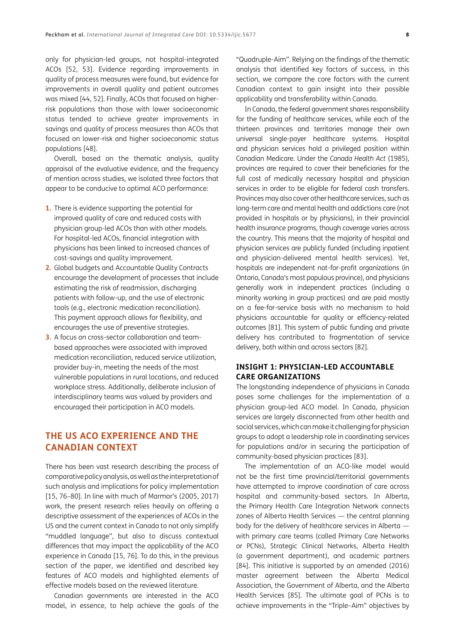only for physician-led groups, not hospital-integrated ACOs [\[52,](#page-11-0) [53](#page-11-0)]. Evidence regarding improvements in quality of process measures were found, but evidence for improvements in overall quality and patient outcomes was mixed [\[44, 52](#page-11-0)]. Finally, ACOs that focused on higherrisk populations than those with lower socioeconomic status tended to achieve greater improvements in savings and quality of process measures than ACOs that focused on lower-risk and higher socioeconomic status populations [\[48](#page-11-0)].

Overall, based on the thematic analysis, quality appraisal of the evaluative evidence, and the frequency of mention across studies, we isolated three factors that appear to be conducive to optimal ACO performance:

- **1.** There is evidence supporting the potential for improved quality of care and reduced costs with physician group-led ACOs than with other models. For hospital-led ACOs, financial integration with physicians has been linked to increased chances of cost-savings and quality improvement.
- **2.** Global budgets and Accountable Quality Contracts encourage the development of processes that include estimating the risk of readmission, discharging patients with follow-up, and the use of electronic tools (e.g., electronic medication reconciliation). This payment approach allows for flexibility, and encourages the use of preventive strategies.
- **3.** A focus on cross-sector collaboration and teambased approaches were associated with improved medication reconciliation, reduced service utilization, provider buy-in, meeting the needs of the most vulnerable populations in rural locations, and reduced workplace stress. Additionally, deliberate inclusion of interdisciplinary teams was valued by providers and encouraged their participation in ACO models.

## **THE US ACO EXPERIENCE AND THE CANADIAN CONTEXT**

There has been vast research describing the process of comparative policy analysis, as well as the interpretation of such analysis and implications for policy implementation [\[15,](#page-10-0) [76–80\]](#page-13-0). In line with much of Marmor's (2005, 2017) work, the present research relies heavily on offering a descriptive assessment of the experiences of ACOs in the US and the current context in Canada to not only simplify "muddled language", but also to discuss contextual differences that may impact the applicability of the ACO experience in Canada [\[15](#page-10-0), [76](#page-13-0)]. To do this, in the previous section of the paper, we identified and described key features of ACO models and highlighted elements of effective models based on the reviewed literature.

Canadian governments are interested in the ACO model, in essence, to help achieve the goals of the

"Quadruple-Aim". Relying on the findings of the thematic analysis that identified key factors of success, in this section, we compare the core factors with the current Canadian context to gain insight into their possible applicability and transferability within Canada.

In Canada, the federal government shares responsibility for the funding of healthcare services, while each of the thirteen provinces and territories manage their own universal single-payer healthcare systems. Hospital and physician services hold a privileged position within Canadian Medicare. Under the *Canada Health Act* (1985), provinces are required to cover their beneficiaries for the full cost of medically necessary hospital and physician services in order to be eligible for federal cash transfers. Provinces may also cover other healthcare services, such as long-term care and mental health and addictions care (not provided in hospitals or by physicians), in their provincial health insurance programs, though coverage varies across the country. This means that the majority of hospital and physician services are publicly funded (including inpatient and physician-delivered mental health services). Yet, hospitals are independent not-for-profit organizations (in Ontario, Canada's most populous province), and physicians generally work in independent practices (including a minority working in group practices) and are paid mostly on a fee-for-service basis with no mechanism to hold physicians accountable for quality or efficiency-related outcomes [\[81](#page-13-0)]. This system of public funding and private delivery has contributed to fragmentation of service delivery, both within and across sectors [\[82](#page-13-0)].

## **INSIGHT 1: PHYSICIAN-LED ACCOUNTABLE CARE ORGANIZATIONS**

The longstanding independence of physicians in Canada poses some challenges for the implementation of a physician group-led ACO model. In Canada, physician services are largely disconnected from other health and social services, which can make it challenging for physician groups to adopt a leadership role in coordinating services for populations and/or in securing the participation of community-based physician practices [\[83](#page-13-0)].

The implementation of an ACO-like model would not be the first time provincial/territorial governments have attempted to improve coordination of care across hospital and community-based sectors. In Alberta, the Primary Health Care Integration Network connects zones of Alberta Health Services — the central planning body for the delivery of healthcare services in Alberta with primary care teams (called Primary Care Networks or PCNs), Strategic Clinical Networks, Alberta Health (a government department), and academic partners [[84](#page-13-0)]. This initiative is supported by an amended (2016) master agreement between the Alberta Medical Association, the Government of Alberta, and the Alberta Health Services [[85](#page-13-0)]. The ultimate goal of PCNs is to achieve improvements in the "Triple–Aim" objectives by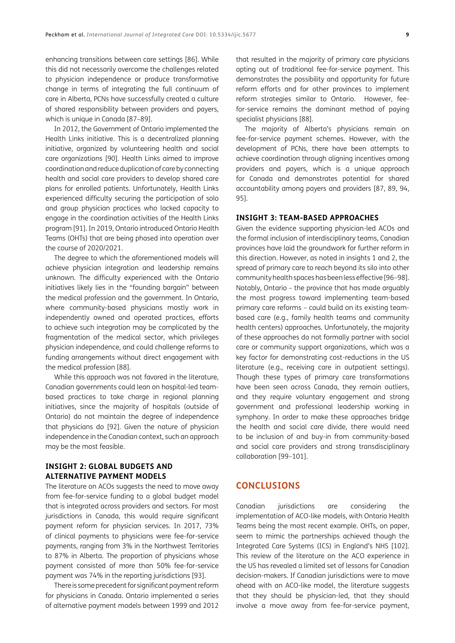enhancing transitions between care settings [\[86](#page-13-0)]. While this did not necessarily overcome the challenges related to physician independence or produce transformative change in terms of integrating the full continuum of care in Alberta, PCNs have successfully created a culture of shared responsibility between providers and payers, which is unique in Canada [[87](#page-13-0)–[89](#page-13-0)].

In 2012, the Government of Ontario implemented the Health Links initiative. This is a decentralized planning initiative, organized by volunteering health and social care organizations [[90\]](#page-13-0). Health Links aimed to improve coordination and reduce duplication of care by connecting health and social care providers to develop shared care plans for enrolled patients. Unfortunately, Health Links experienced difficulty securing the participation of solo and group physician practices who lacked capacity to engage in the coordination activities of the Health Links program [[91](#page-13-0)]. In 2019, Ontario introduced Ontario Health Teams (OHTs) that are being phased into operation over the course of 2020/2021.

The degree to which the aforementioned models will achieve physician integration and leadership remains unknown. The difficulty experienced with the Ontario initiatives likely lies in the "founding bargain" between the medical profession and the government. In Ontario, where community-based physicians mostly work in independently owned and operated practices, efforts to achieve such integration may be complicated by the fragmentation of the medical sector, which privileges physician independence, and could challenge reforms to funding arrangements without direct engagement with the medical profession [[88](#page-13-0)].

While this approach was not favored in the literature, Canadian governments could lean on hospital-led teambased practices to take charge in regional planning initiatives, since the majority of hospitals (outside of Ontario) do not maintain the degree of independence that physicians do [\[92](#page-13-0)]. Given the nature of physician independence in the Canadian context, such an approach may be the most feasible.

## **INSIGHT 2: GLOBAL BUDGETS AND ALTERNATIVE PAYMENT MODELS**

The literature on ACOs suggests the need to move away from fee-for-service funding to a global budget model that is integrated across providers and sectors. For most jurisdictions in Canada, this would require significant payment reform for physician services. In 2017, 73% of clinical payments to physicians were fee-for-service payments, ranging from 3% in the Northwest Territories to 87% in Alberta. The proportion of physicians whose payment consisted of more than 50% fee-for-service payment was 74% in the reporting jurisdictions [\[93](#page-13-0)].

There is some precedent for significant payment reform for physicians in Canada. Ontario implemented a series of alternative payment models between 1999 and 2012 that resulted in the majority of primary care physicians opting out of traditional fee-for-service payment. This demonstrates the possibility and opportunity for future reform efforts and for other provinces to implement reform strategies similar to Ontario. However, feefor-service remains the dominant method of paying specialist physicians [[88\]](#page-13-0).

The majority of Alberta's physicians remain on fee-for-service payment schemes. However, with the development of PCNs, there have been attempts to achieve coordination through aligning incentives among providers and payers, which is a unique approach for Canada and demonstrates potential for shared accountability among payers and providers [[87](#page-13-0), [89,](#page-13-0) [94,](#page-13-0) [95](#page-13-0)].

#### **INSIGHT 3: TEAM-BASED APPROACHES**

Given the evidence supporting physician-led ACOs and the formal inclusion of interdisciplinary teams, Canadian provinces have laid the groundwork for further reform in this direction. However, as noted in insights 1 and 2, the spread of primary care to reach beyond its silo into other community health spaces has been less effective [\[96–98\]](#page-13-0). Notably, Ontario – the province that has made arguably the most progress toward implementing team-based primary care reforms – could build on its existing teambased care (e.g., family health teams and community health centers) approaches. Unfortunately, the majority of these approaches do not formally partner with social care or community support organizations, which was a key factor for demonstrating cost-reductions in the US literature (e.g., receiving care in outpatient settings). Though these types of primary care transformations have been seen across Canada, they remain outliers, and they require voluntary engagement and strong government and professional leadership working in symphony. In order to make these approaches bridge the health and social care divide, there would need to be inclusion of and buy-in from community-based and social care providers and strong transdisciplinary collaboration [\[99–101\]](#page-13-0).

## **CONCLUSIONS**

Canadian jurisdictions are considering the implementation of ACO-like models, with Ontario Health Teams being the most recent example. OHTs, on paper, seem to mimic the partnerships achieved though the Integrated Care Systems (ICS) in England's NHS [\[102\]](#page-14-0). This review of the literature on the ACO experience in the US has revealed a limited set of lessons for Canadian decision-makers. If Canadian jurisdictions were to move ahead with an ACO-like model, the literature suggests that they should be physician-led, that they should involve a move away from fee-for-service payment,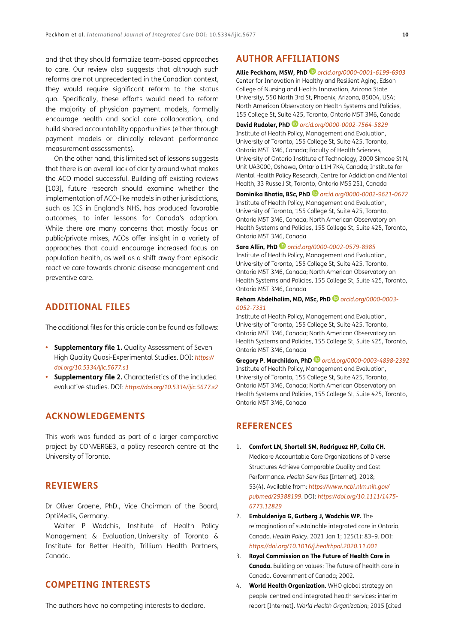<span id="page-9-1"></span>and that they should formalize team-based approaches to care. Our review also suggests that although such reforms are not unprecedented in the Canadian context, they would require significant reform to the status quo. Specifically, these efforts would need to reform the majority of physician payment models, formally encourage health and social care collaboration, and build shared accountability opportunities (either through payment models or clinically relevant performance measurement assessments).

On the other hand, this limited set of lessons suggests that there is an overall lack of clarity around what makes the ACO model successful. Building off existing reviews [\[103\]](#page-14-0), future research should examine whether the implementation of ACO-like models in other jurisdictions, such as ICS in England's NHS, has produced favorable outcomes, to infer lessons for Canada's adoption. While there are many concerns that mostly focus on public/private mixes, ACOs offer insight in a variety of approaches that could encourage increased focus on population health, as well as a shift away from episodic reactive care towards chronic disease management and preventive care.

## **ADDITIONAL FILES**

The additional files for this article can be found as follows:

- **• Supplementary file 1.** Quality Assessment of Seven High Quality Quasi-Experimental Studies. DOI: *[https://](https://doi.org/10.5334/ijic.5677.s1) [doi.org/10.5334/ijic.5677.s1](https://doi.org/10.5334/ijic.5677.s1)*
- **Supplementary file 2.** Characteristics of the included evaluative studies. DOI: *[https://doi.org/10.5334/ijic.5677.s2](https://doi.org/ 10.5334/ijic.5677.s2)*

## **ACKNOWLEDGEMENTS**

This work was funded as part of a larger comparative project by CONVERGE3, a policy research centre at the University of Toronto.

## **REVIEWERS**

Dr Oliver Groene, PhD., Vice Chairman of the Board, OptiMedis, Germany.

Walter P Wodchis, Institute of Health Policy Management & Evaluation, University of Toronto & Institute for Better Health, Trillium Health Partners, Canada.

## **COMPETING INTERESTS**

The authors have no competing interests to declare.

## <span id="page-9-0"></span>**AUTHOR AFFILIATIONS**

#### **Allie Peckham, MSW, PhD** *[orcid.org/0000-0001-6199-6903](https://orcid.org/0000-0001-6199-6903)*

Center for Innovation in Healthy and Resilient Aging, Edson College of Nursing and Health Innovation, Arizona State University, 550 North 3rd St, Phoenix, Arizona, 85004, USA; North American Observatory on Health Systems and Policies, 155 College St, Suite 425, Toronto, Ontario M5T 3M6, Canada

**David Rudoler, PhD** *[orcid.org/0000-0002-7564-5829](https://orcid.org/0000-0002-7564-5829)*

Institute of Health Policy, Management and Evaluation, University of Toronto, 155 College St, Suite 425, Toronto, Ontario M5T 3M6, Canada; Faculty of Health Sciences, University of Ontario Institute of Technology, 2000 Simcoe St N, Unit UA3000, Oshawa, Ontario L1H 7K4, Canada; Institute for Mental Health Policy Research, Centre for Addiction and Mental Health, 33 Russell St, Toronto, Ontario M5S 2S1, Canada

#### **Dominika Bhatia, BSc, PhD** *[orcid.org/0000-0002-9621-0672](https://orcid.org/0000-0002-9621-0672)*

Institute of Health Policy, Management and Evaluation, University of Toronto, 155 College St, Suite 425, Toronto, Ontario M5T 3M6, Canada; North American Observatory on Health Systems and Policies, 155 College St, Suite 425, Toronto, Ontario M5T 3M6, Canada

#### **Sara Allin, PhD** *[orcid.org/0000-0002-0579-8985](https://orcid.org/0000-0002-0579-8985)*

Institute of Health Policy, Management and Evaluation, University of Toronto, 155 College St, Suite 425, Toronto, Ontario M5T 3M6, Canada; North American Observatory on Health Systems and Policies, 155 College St, Suite 425, Toronto, Ontario M5T 3M6, Canada

#### **Reham Abdelhalim, MD, MSc, PhD** *[orcid.org/0000-0003-](https://orcid.org/0000-0003-0052-7331) [0052-7331](https://orcid.org/0000-0003-0052-7331)*

Institute of Health Policy, Management and Evaluation, University of Toronto, 155 College St, Suite 425, Toronto, Ontario M5T 3M6, Canada; North American Observatory on Health Systems and Policies, 155 College St, Suite 425, Toronto, Ontario M5T 3M6, Canada

**Gregory P. Marchildon, PhD** *[orcid.org/0000-0003-4898-2392](https://orcid.org/0000-0003-4898-2392)* Institute of Health Policy, Management and Evaluation, University of Toronto, 155 College St, Suite 425, Toronto, Ontario M5T 3M6, Canada; North American Observatory on Health Systems and Policies, 155 College St, Suite 425, Toronto, Ontario M5T 3M6, Canada

## **REFERENCES**

- 1. **Comfort LN, Shortell SM, Rodriguez HP, Colla CH.** Medicare Accountable Care Organizations of Diverse Structures Achieve Comparable Quality and Cost Performance. *Health Serv Res* [Internet]. 2018; 53(4). Available from: *[https://www.ncbi.nlm.nih.gov/](https://www.ncbi.nlm.nih.gov/pubmed/29388199) [pubmed/29388199](https://www.ncbi.nlm.nih.gov/pubmed/29388199)*. DOI: *[https://doi.org/10.1111/1475-](https://doi.org/10.1111/1475-6773.12829) [6773.12829](https://doi.org/10.1111/1475-6773.12829)*
- 2. **Embuldeniya G, Gutberg J, Wodchis WP.** The reimagination of sustainable integrated care in Ontario, Canada. *Health Policy*. 2021 Jan 1; 125(1): 83–9. DOI: *<https://doi.org/10.1016/j.healthpol.2020.11.001>*
- 3. **Royal Commission on The Future of Health Care in Canada.** Building on values: The future of health care in Canada. Government of Canada; 2002.
- 4. **World Health Organization.** WHO global strategy on people-centred and integrated health services: interim report [Internet]. *World Health Organization*; 2015 [cited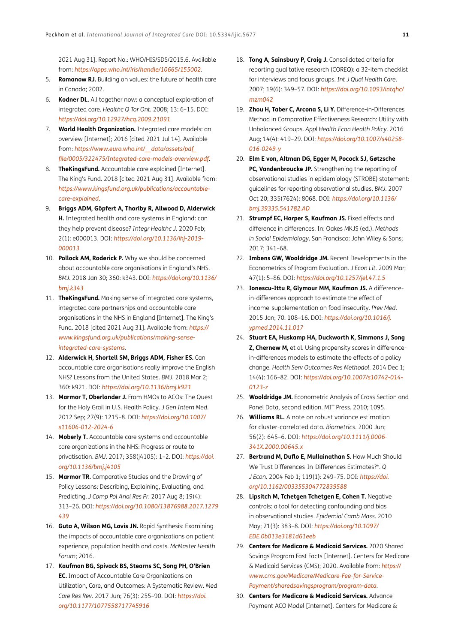<span id="page-10-0"></span>2021 Aug 31]. Report No.: WHO/HIS/SDS/2015.6. Available from: *<https://apps.who.int/iris/handle/10665/155002>*.

- 5. **Romanow RJ.** Building on values: the future of health care in Canada; 2002.
- 6. **Kodner DL.** All together now: a conceptual exploration of integrated care. *Healthc Q Tor Ont*. 2008; 13: 6–15. DOI: *<https://doi.org/10.12927/hcq.2009.21091>*
- 7. **World Health Organization.** Integrated care models: an overview [Internet]; 2016 [cited 2021 Jul 14]. Available from: *[https://www.euro.who.int/\\_\\_data/assets/pdf\\_](https://www.euro.who.int/__data/assets/pdf_file/0005/322475/Integrated-care-models-overview.pdf) [file/0005/322475/Integrated-care-models-overview.pdf](https://www.euro.who.int/__data/assets/pdf_file/0005/322475/Integrated-care-models-overview.pdf)*.
- 8. **TheKingsFund.** Accountable care explained [Internet]. The King's Fund. 2018 [cited 2021 Aug 31]. Available from: *[https://www.kingsfund.org.uk/publications/accountable](https://www.kingsfund.org.uk/publications/accountable-care-explained)[care-explained](https://www.kingsfund.org.uk/publications/accountable-care-explained)*.
- 9. **Briggs ADM, Göpfert A, Thorlby R, Allwood D, Alderwick H.** Integrated health and care systems in England: can they help prevent disease? *Integr Healthc J*. 2020 Feb; 2(1): e000013. DOI: *[https://doi.org/10.1136/ihj-2019-](https://doi.org/10.1136/ihj-2019-000013) [000013](https://doi.org/10.1136/ihj-2019-000013)*
- 10. **Pollock AM, Roderick P.** Why we should be concerned about accountable care organisations in England's NHS. *BMJ*. 2018 Jan 30; 360: k343. DOI: *[https://doi.org/10.1136/](https://doi.org/10.1136/bmj.k343) [bmj.k343](https://doi.org/10.1136/bmj.k343)*
- 11. **TheKingsFund.** Making sense of integrated care systems, integrated care partnerships and accountable care organisations in the NHS in England [Internet]. The King's Fund. 2018 [cited 2021 Aug 31]. Available from: *[https://](https://www.kingsfund.org.uk/publications/making-sense-integrated-care-systems) [www.kingsfund.org.uk/publications/making-sense](https://www.kingsfund.org.uk/publications/making-sense-integrated-care-systems)[integrated-care-systems](https://www.kingsfund.org.uk/publications/making-sense-integrated-care-systems)*.
- 12. **Alderwick H, Shortell SM, Briggs ADM, Fisher ES.** Can accountable care organisations really improve the English NHS? Lessons from the United States. *BMJ*. 2018 Mar 2; 360: k921. DOI: *<https://doi.org/10.1136/bmj.k921>*
- 13. **Marmor T, Oberlander J.** From HMOs to ACOs: The Quest for the Holy Grail in U.S. Health Policy. *J Gen Intern Med*. 2012 Sep; 27(9): 1215–8. DOI: *[https://doi.org/10.1007/](https://doi.org/10.1007/s11606-012-2024-6) [s11606-012-2024-6](https://doi.org/10.1007/s11606-012-2024-6)*
- 14. **Moberly T.** Accountable care systems and accountable care organizations in the NHS: Progress or route to privatisation. *BMJ*. 2017; 358(j4105): 1–2. DOI: *[https://doi.](https://doi.org/10.1136/bmj.j4105) [org/10.1136/bmj.j4105](https://doi.org/10.1136/bmj.j4105)*
- 15. **Marmor TR.** Comparative Studies and the Drawing of Policy Lessons: Describing, Explaining, Evaluating, and Predicting. *J Comp Pol Anal Res Pr*. 2017 Aug 8; 19(4): 313–26. DOI: *[https://doi.org/10.1080/13876988.2017.1279](https://doi.org/10.1080/13876988.2017.1279439) [439](https://doi.org/10.1080/13876988.2017.1279439)*
- 16. **Guta A, Wilson MG, Lavis JN.** Rapid Synthesis: Examining the impacts of accountable care organizations on patient experience, population health and costs. *McMaster Health Forum*; 2016.
- 17. **Kaufman BG, Spivack BS, Stearns SC, Song PH, O'Brien EC.** Impact of Accountable Care Organizations on Utilization, Care, and Outcomes: A Systematic Review. *Med Care Res Rev*. 2017 Jun; 76(3): 255–90. DOI: *[https://doi.](https://doi.org/10.1177/1077558717745916) [org/10.1177/1077558717745916](https://doi.org/10.1177/1077558717745916)*
- 18. **Tong A, Sainsbury P, Craig J.** Consolidated criteria for reporting qualitative research (COREQ): a 32-item checklist for interviews and focus groups. *Int J Qual Health Care*. 2007; 19(6): 349–57. DOI: *[https://doi.org/10.1093/intqhc/](https://doi.org/10.1093/intqhc/mzm042) [mzm042](https://doi.org/10.1093/intqhc/mzm042)*
- 19. **Zhou H, Taber C, Arcona S, Li Y.** Difference-in-Differences Method in Comparative Effectiveness Research: Utility with Unbalanced Groups. *Appl Health Econ Health Policy*. 2016 Aug; 14(4): 419–29. DOI: *[https://doi.org/10.1007/s40258-](https://doi.org/10.1007/s40258-016-0249-y) [016-0249-y](https://doi.org/10.1007/s40258-016-0249-y)*
- 20. **Elm E von, Altman DG, Egger M, Pocock SJ, Gøtzsche PC, Vandenbroucke JP.** Strengthening the reporting of observational studies in epidemiology (STROBE) statement: guidelines for reporting observational studies. *BMJ*. 2007 Oct 20; 335(7624): 8068. DOI: *[https://doi.org/10.1136/](https://doi.org/10.1136/bmj.39335.541782.AD) [bmj.39335.541782.AD](https://doi.org/10.1136/bmj.39335.541782.AD)*
- 21. **Strumpf EC, Harper S, Kaufman JS.** Fixed effects and difference in differences. In: Oakes MKJS (ed.). *Methods in Social Epidemiology*. San Francisco: John Wiley & Sons; 2017; 341–68.
- 22. **Imbens GW, Wooldridge JM.** Recent Developments in the Econometrics of Program Evaluation. *J Econ Lit*. 2009 Mar; 47(1): 5–86. DOI: *<https://doi.org/10.1257/jel.47.1.5>*
- 23. **Ionescu-Ittu R, Glymour MM, Kaufman JS.** A differencein-differences approach to estimate the effect of income-supplementation on food insecurity. *Prev Med*. 2015 Jan; 70: 108–16. DOI: *[https://doi.org/10.1016/j.](https://doi.org/10.1016/j.ypmed.2014.11.017) [ypmed.2014.11.017](https://doi.org/10.1016/j.ypmed.2014.11.017)*
- 24. **Stuart EA, Huskamp HA, Duckworth K, Simmons J, Song Z, Chernew M,** et al. Using propensity scores in differencein-differences models to estimate the effects of a policy change. *Health Serv Outcomes Res Methodol*. 2014 Dec 1; 14(4): 166–82. DOI: *[https://doi.org/10.1007/s10742-014-](https://doi.org/10.1007/s10742-014-0123-z) [0123-z](https://doi.org/10.1007/s10742-014-0123-z)*
- 25. **Wooldridge JM.** Econometric Analysis of Cross Section and Panel Data, second edition. MIT Press. 2010; 1095.
- 26. **Williams RL.** A note on robust variance estimation for cluster-correlated data. *Biometrics*. 2000 Jun; 56(2): 645–6. DOI: *[https://doi.org/10.1111/j.0006-](https://doi.org/10.1111/j.0006-341X.2000.00645.x) [341X.2000.00645.x](https://doi.org/10.1111/j.0006-341X.2000.00645.x)*
- 27. **Bertrand M, Duflo E, Mullainathan S.** How Much Should We Trust Differences-In-Differences Estimates?\*. *Q J Econ*. 2004 Feb 1; 119(1): 249–75. DOI: *[https://doi.](https://doi.org/10.1162/003355304772839588) [org/10.1162/003355304772839588](https://doi.org/10.1162/003355304772839588)*
- 28. **Lipsitch M, Tchetgen Tchetgen E, Cohen T.** Negative controls: a tool for detecting confounding and bias in observational studies. *Epidemiol Camb Mass*. 2010 May; 21(3): 383–8. DOI: *[https://doi.org/10.1097/](https://doi.org/10.1097/EDE.0b013e3181d61eeb) [EDE.0b013e3181d61eeb](https://doi.org/10.1097/EDE.0b013e3181d61eeb)*
- 29. **Centers for Medicare & Medicaid Services.** 2020 Shared Savings Program Fast Facts [Internet]. Centers for Medicare & Medicaid Services (CMS); 2020. Available from: *[https://](https://www.cms.gov/Medicare/Medicare-Fee-for-Service-Payment/sharedsavingsprogram/program-data) [www.cms.gov/Medicare/Medicare-Fee-for-Service-](https://www.cms.gov/Medicare/Medicare-Fee-for-Service-Payment/sharedsavingsprogram/program-data)[Payment/sharedsavingsprogram/program-data](https://www.cms.gov/Medicare/Medicare-Fee-for-Service-Payment/sharedsavingsprogram/program-data)*.
- 30. **Centers for Medicare & Medicaid Services.** Advance Payment ACO Model [Internet]. Centers for Medicare &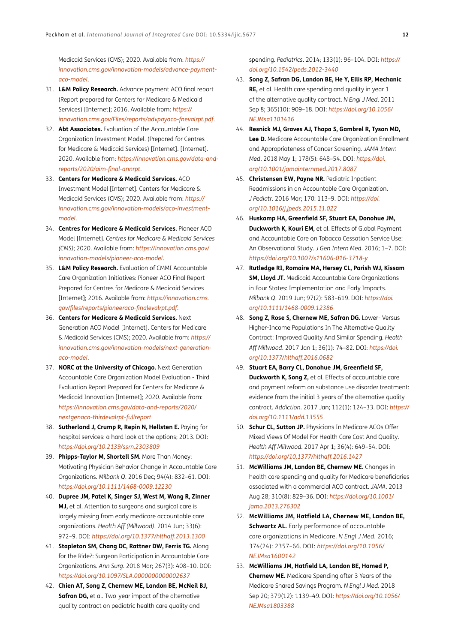<span id="page-11-0"></span>Medicaid Services (CMS); 2020. Available from: *[https://](https://innovation.cms.gov/innovation-models/advance-payment-aco-model) [innovation.cms.gov/innovation-models/advance-payment](https://innovation.cms.gov/innovation-models/advance-payment-aco-model)[aco-model](https://innovation.cms.gov/innovation-models/advance-payment-aco-model)*.

- 31. **L&M Policy Research.** Advance payment ACO final report (Report prepared for Centers for Medicare & Medicaid Services) [Internet]; 2016. Available from: *[https://](https://innovation.cms.gov/Files/reports/advpayaco-fnevalrpt.pdf) [innovation.cms.gov/Files/reports/advpayaco-fnevalrpt.pdf](https://innovation.cms.gov/Files/reports/advpayaco-fnevalrpt.pdf)*.
- 32. **Abt Associates.** Evaluation of the Accountable Care Organization Investment Model. (Prepared for Centres for Medicare & Medicaid Services) [Internet]. [Internet]. 2020. Available from: *[https://innovation.cms.gov/data-and](https://innovation.cms.gov/data-and-reports/2020/aim-final-annrpt)[reports/2020/aim-final-annrpt](https://innovation.cms.gov/data-and-reports/2020/aim-final-annrpt)*.
- 33. **Centers for Medicare & Medicaid Services.** ACO Investment Model [Internet]. Centers for Medicare & Medicaid Services (CMS); 2020. Available from: *[https://](https://innovation.cms.gov/innovation-models/aco-investment-model) [innovation.cms.gov/innovation-models/aco-investment](https://innovation.cms.gov/innovation-models/aco-investment-model)[model](https://innovation.cms.gov/innovation-models/aco-investment-model)*.
- 34. **Centres for Medicare & Medicaid Services.** Pioneer ACO Model [Internet]. *Centres for Medicare & Medicaid Services (CMS)*; 2020. Available from: *[https://innovation.cms.gov/](https://innovation.cms.gov/innovation-models/pioneer-aco-model) [innovation-models/pioneer-aco-model](https://innovation.cms.gov/innovation-models/pioneer-aco-model)*.
- 35. **L&M Policy Research.** Evaluation of CMMI Accountable Care Organization Initiatives: Pioneer ACO Final Report Prepared for Centres for Medicare & Medicaid Services [Internet]; 2016. Available from: *[https://innovation.cms.](https://innovation.cms.gov/files/reports/pioneeraco-finalevalrpt.pdf) [gov/files/reports/pioneeraco-finalevalrpt.pdf](https://innovation.cms.gov/files/reports/pioneeraco-finalevalrpt.pdf)*.
- 36. **Centers for Medicare & Medicaid Services.** Next Generation ACO Model [Internet]. Centers for Medicare & Medicaid Services (CMS); 2020. Available from: *[https://](https://innovation.cms.gov/innovation-models/next-generation-aco-model) [innovation.cms.gov/innovation-models/next-generation](https://innovation.cms.gov/innovation-models/next-generation-aco-model)[aco-model](https://innovation.cms.gov/innovation-models/next-generation-aco-model)*.
- 37. **NORC at the University of Chicago.** Next Generation Accountable Care Organization Model Evaluation - Third Evaluation Report Prepared for Centers for Medicare & Medicaid Innovation [Internet]; 2020. Available from: *[https://innovation.cms.gov/data-and-reports/2020/](https://innovation.cms.gov/data-and-reports/2020/nextgenaco-thirdevalrpt-fullreport) [nextgenaco-thirdevalrpt-fullreport](https://innovation.cms.gov/data-and-reports/2020/nextgenaco-thirdevalrpt-fullreport)*.
- 38. **Sutherland J, Crump R, Repin N, Hellsten E.** Paying for hospital services: a hard look at the options; 2013. DOI: *<https://doi.org/10.2139/ssrn.2303809>*
- 39. **Phipps-Taylor M, Shortell SM.** More Than Money: Motivating Physician Behavior Change in Accountable Care Organizations. *Milbank Q*. 2016 Dec; 94(4): 832–61. DOI: *<https://doi.org/10.1111/1468-0009.12230>*
- 40. **Dupree JM, Patel K, Singer SJ, West M, Wang R, Zinner MJ,** et al. Attention to surgeons and surgical care is largely missing from early medicare accountable care organizations. *Health Aff (Millwood)*. 2014 Jun; 33(6): 972–9. DOI: *<https://doi.org/10.1377/hlthaff.2013.1300>*
- 41. **Stapleton SM, Chang DC, Rattner DW, Ferris TG.** Along for the Ride?: Surgeon Participation in Accountable Care Organizations. *Ann Surg*. 2018 Mar; 267(3): 408–10. DOI: *<https://doi.org/10.1097/SLA.0000000000002637>*
- 42. **Chien AT, Song Z, Chernew ME, Landon BE, McNeil BJ, Safran DG,** et al. Two-year impact of the alternative quality contract on pediatric health care quality and

spending. *Pediatrics*. 2014; 133(1): 96–104. DOI: *[https://](https://doi.org/10.1542/peds.2012-3440) [doi.org/10.1542/peds.2012-3440](https://doi.org/10.1542/peds.2012-3440)*

- 43. **Song Z, Safran DG, Landon BE, He Y, Ellis RP, Mechanic RE,** et al. Health care spending and quality in year 1 of the alternative quality contract. *N Engl J Med*. 2011 Sep 8; 365(10): 909–18. DOI: *[https://doi.org/10.1056/](https://doi.org/10.1056/NEJMsa1101416) [NEJMsa1101416](https://doi.org/10.1056/NEJMsa1101416)*
- 44. **Resnick MJ, Graves AJ, Thapa S, Gambrel R, Tyson MD, Lee D.** Medicare Accountable Care Organization Enrollment and Appropriateness of Cancer Screening. *JAMA Intern Med*. 2018 May 1; 178(5): 648–54. DOI: *[https://doi.](https://doi.org/10.1001/jamainternmed.2017.8087) [org/10.1001/jamainternmed.2017.8087](https://doi.org/10.1001/jamainternmed.2017.8087)*
- 45. **Christensen EW, Payne NR.** Pediatric Inpatient Readmissions in an Accountable Care Organization. *J Pediatr*. 2016 Mar; 170: 113–9. DOI: *[https://doi.](https://doi.org/10.1016/j.jpeds.2015.11.022) [org/10.1016/j.jpeds.2015.11.022](https://doi.org/10.1016/j.jpeds.2015.11.022)*
- 46. **Huskamp HA, Greenfield SF, Stuart EA, Donohue JM, Duckworth K, Kouri EM,** et al. Effects of Global Payment and Accountable Care on Tobacco Cessation Service Use: An Observational Study. *J Gen Intern Med*. 2016; 1–7. DOI: *<https://doi.org/10.1007/s11606-016-3718-y>*
- 47. **Rutledge RI, Romaire MA, Hersey CL, Parish WJ, Kissam SM, Lloyd JT.** Medicaid Accountable Care Organizations in Four States: Implementation and Early Impacts. *Milbank Q*. 2019 Jun; 97(2): 583–619. DOI: *[https://doi.](https://doi.org/10.1111/1468-0009.12386) [org/10.1111/1468-0009.12386](https://doi.org/10.1111/1468-0009.12386)*
- 48. **Song Z, Rose S, Chernew ME, Safran DG.** Lower- Versus Higher-Income Populations In The Alternative Quality Contract: Improved Quality And Similar Spending. *Health Aff Millwood*. 2017 Jan 1; 36(1): 74–82. DOI: *[https://doi.](https://doi.org/10.1377/hlthaff.2016.0682) [org/10.1377/hlthaff.2016.0682](https://doi.org/10.1377/hlthaff.2016.0682)*
- 49. **Stuart EA, Barry CL, Donohue JM, Greenfield SF, Duckworth K, Song Z,** et al. Effects of accountable care and payment reform on substance use disorder treatment: evidence from the initial 3 years of the alternative quality contract. *Addiction*. 2017 Jan; 112(1): 124–33. DOI: *[https://](https://doi.org/10.1111/add.13555) [doi.org/10.1111/add.13555](https://doi.org/10.1111/add.13555)*
- 50. **Schur CL, Sutton JP.** Physicians In Medicare ACOs Offer Mixed Views Of Model For Health Care Cost And Quality. *Health Aff Millwood*. 2017 Apr 1; 36(4): 649–54. DOI: *<https://doi.org/10.1377/hlthaff.2016.1427>*
- 51. **McWilliams JM, Landon BE, Chernew ME.** Changes in health care spending and quality for Medicare beneficiaries associated with a commercial ACO contract. *JAMA*. 2013 Aug 28; 310(8): 829–36. DOI: *[https://doi.org/10.1001/](https://doi.org/10.1001/jama.2013.276302) [jama.2013.276302](https://doi.org/10.1001/jama.2013.276302)*
- 52. **McWilliams JM, Hatfield LA, Chernew ME, Landon BE, Schwartz AL.** Early performance of accountable care organizations in Medicare. *N Engl J Med*. 2016; 374(24): 2357–66. DOI: *[https://doi.org/10.1056/](https://doi.org/10.1056/NEJMsa1600142) [NEJMsa1600142](https://doi.org/10.1056/NEJMsa1600142)*
- 53. **McWilliams JM, Hatfield LA, Landon BE, Hamed P, Chernew ME.** Medicare Spending after 3 Years of the Medicare Shared Savings Program. *N Engl J Med*. 2018 Sep 20; 379(12): 1139–49. DOI: *[https://doi.org/10.1056/](https://doi.org/10.1056/NEJMsa1803388) [NEJMsa1803388](https://doi.org/10.1056/NEJMsa1803388)*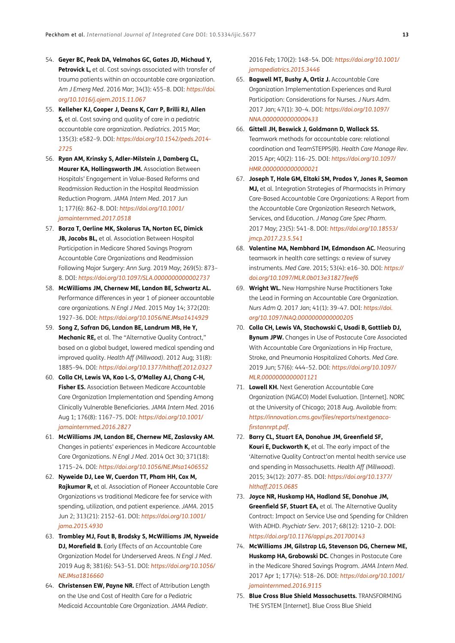- <span id="page-12-0"></span>54. **Geyer BC, Peak DA, Velmahos GC, Gates JD, Michaud Y, Petrovick L,** et al. Cost savings associated with transfer of trauma patients within an accountable care organization. *Am J Emerg Med*. 2016 Mar; 34(3): 455–8. DOI: *[https://doi.](https://doi.org/10.1016/j.ajem.2015.11.067) [org/10.1016/j.ajem.2015.11.067](https://doi.org/10.1016/j.ajem.2015.11.067)*
- 55. **Kelleher KJ, Cooper J, Deans K, Carr P, Brilli RJ, Allen S,** et al. Cost saving and quality of care in a pediatric accountable care organization. *Pediatrics*. 2015 Mar; 135(3): e582–9. DOI: *[https://doi.org/10.1542/peds.2014-](https://doi.org/10.1542/peds.2014-2725) [2725](https://doi.org/10.1542/peds.2014-2725)*
- 56. **Ryan AM, Krinsky S, Adler-Milstein J, Damberg CL, Maurer KA, Hollingsworth JM.** Association Between Hospitals' Engagement in Value-Based Reforms and Readmission Reduction in the Hospital Readmission Reduction Program. *JAMA Intern Med*. 2017 Jun 1; 177(6): 862–8. DOI: *[https://doi.org/10.1001/](https://doi.org/10.1001/jamainternmed.2017.0518) [jamainternmed.2017.0518](https://doi.org/10.1001/jamainternmed.2017.0518)*
- 57. **Borza T, Oerline MK, Skolarus TA, Norton EC, Dimick JB, Jacobs BL,** et al. Association Between Hospital Participation in Medicare Shared Savings Program Accountable Care Organizations and Readmission Following Major Surgery: *Ann Surg*. 2019 May; 269(5): 873– 8. DOI: *<https://doi.org/10.1097/SLA.0000000000002737>*
- 58. **McWilliams JM, Chernew ME, Landon BE, Schwartz AL.** Performance differences in year 1 of pioneer accountable care organizations. *N Engl J Med*. 2015 May 14; 372(20): 1927–36. DOI: *<https://doi.org/10.1056/NEJMsa1414929>*
- 59. **Song Z, Safran DG, Landon BE, Landrum MB, He Y, Mechanic RE,** et al. The "Alternative Quality Contract," based on a global budget, lowered medical spending and improved quality. *Health Aff (Millwood)*. 2012 Aug; 31(8): 1885–94. DOI: *<https://doi.org/10.1377/hlthaff.2012.0327>*
- 60. **Colla CH, Lewis VA, Kao L-S, O'Malley AJ, Chang C-H, Fisher ES.** Association Between Medicare Accountable Care Organization Implementation and Spending Among Clinically Vulnerable Beneficiaries. *JAMA Intern Med*. 2016 Aug 1; 176(8): 1167–75. DOI: *[https://doi.org/10.1001/](https://doi.org/10.1001/jamainternmed.2016.2827) [jamainternmed.2016.2827](https://doi.org/10.1001/jamainternmed.2016.2827)*
- 61. **McWilliams JM, Landon BE, Chernew ME, Zaslavsky AM.** Changes in patients' experiences in Medicare Accountable Care Organizations. *N Engl J Med*. 2014 Oct 30; 371(18): 1715–24. DOI: *<https://doi.org/10.1056/NEJMsa1406552>*
- 62. **Nyweide DJ, Lee W, Cuerdon TT, Pham HH, Cox M, Rajkumar R,** et al. Association of Pioneer Accountable Care Organizations vs traditional Medicare fee for service with spending, utilization, and patient experience. *JAMA*. 2015 Jun 2; 313(21): 2152–61. DOI: *[https://doi.org/10.1001/](https://doi.org/10.1001/jama.2015.4930) [jama.2015.4930](https://doi.org/10.1001/jama.2015.4930)*
- 63. **Trombley MJ, Fout B, Brodsky S, McWilliams JM, Nyweide DJ, Morefield B.** Early Effects of an Accountable Care Organization Model for Underserved Areas. *N Engl J Med*. 2019 Aug 8; 381(6): 543–51. DOI: *[https://doi.org/10.1056/](https://doi.org/10.1056/NEJMsa1816660) [NEJMsa1816660](https://doi.org/10.1056/NEJMsa1816660)*
- 64. **Christensen EW, Payne NR.** Effect of Attribution Length on the Use and Cost of Health Care for a Pediatric Medicaid Accountable Care Organization. *JAMA Pediatr*.

2016 Feb; 170(2): 148–54. DOI: *[https://doi.org/10.1001/](https://doi.org/10.1001/jamapediatrics.2015.3446) [jamapediatrics.2015.3446](https://doi.org/10.1001/jamapediatrics.2015.3446)*

- 65. **Bagwell MT, Bushy A, Ortiz J.** Accountable Care Organization Implementation Experiences and Rural Participation: Considerations for Nurses. *J Nurs Adm*. 2017 Jan; 47(1): 30–4. DOI: *[https://doi.org/10.1097/](https://doi.org/10.1097/NNA.0000000000000433) [NNA.0000000000000433](https://doi.org/10.1097/NNA.0000000000000433)*
- 66. **Gittell JH, Beswick J, Goldmann D, Wallack SS.** Teamwork methods for accountable care: relational coordination and TeamSTEPPS(R). *Health Care Manage Rev*. 2015 Apr; 40(2): 116–25. DOI: *[https://doi.org/10.1097/](https://doi.org/10.1097/HMR.0000000000000021) [HMR.0000000000000021](https://doi.org/10.1097/HMR.0000000000000021)*
- 67. **Joseph T, Hale GM, Eltaki SM, Prados Y, Jones R, Seamon MJ,** et al. Integration Strategies of Pharmacists in Primary Care-Based Accountable Care Organizations: A Report from the Accountable Care Organization Research Network, Services, and Education. *J Manag Care Spec Pharm*. 2017 May; 23(5): 541–8. DOI: *[https://doi.org/10.18553/](https://doi.org/10.18553/jmcp.2017.23.5.541) [jmcp.2017.23.5.541](https://doi.org/10.18553/jmcp.2017.23.5.541)*
- 68. **Valentine MA, Nembhard IM, Edmondson AC.** Measuring teamwork in health care settings: a review of survey instruments. *Med Care*. 2015; 53(4): e16–30. DOI: *[https://](https://doi.org/10.1097/MLR.0b013e31827feef6) [doi.org/10.1097/MLR.0b013e31827feef6](https://doi.org/10.1097/MLR.0b013e31827feef6)*
- 69. **Wright WL.** New Hampshire Nurse Practitioners Take the Lead in Forming an Accountable Care Organization. *Nurs Adm Q*. 2017 Jan; 41(1): 39–47. DOI: *[https://doi.](https://doi.org/10.1097/NAQ.0000000000000205) [org/10.1097/NAQ.0000000000000205](https://doi.org/10.1097/NAQ.0000000000000205)*
- 70. **Colla CH, Lewis VA, Stachowski C, Usadi B, Gottlieb DJ, Bynum JPW.** Changes in Use of Postacute Care Associated With Accountable Care Organizations in Hip Fracture, Stroke, and Pneumonia Hospitalized Cohorts. *Med Care*. 2019 Jun; 57(6): 444–52. DOI: *[https://doi.org/10.1097/](https://doi.org/10.1097/MLR.0000000000001121) [MLR.0000000000001121](https://doi.org/10.1097/MLR.0000000000001121)*
- 71. **Lowell KH.** Next Generation Accountable Care Organization (NGACO) Model Evaluation. [Internet]. NORC at the University of Chicago; 2018 Aug. Available from: *[https://innovation.cms.gov/files/reports/nextgenaco](https://innovation.cms.gov/files/reports/nextgenaco-firstannrpt.pdf)[firstannrpt.pdf](https://innovation.cms.gov/files/reports/nextgenaco-firstannrpt.pdf)*.
- 72. **Barry CL, Stuart EA, Donohue JM, Greenfield SF, Kouri E, Duckworth K,** et al. The early impact of the 'Alternative Quality Contract'on mental health service use and spending in Massachusetts. *Health Aff (Millwood)*. 2015; 34(12): 2077–85. DOI: *[https://doi.org/10.1377/](https://doi.org/10.1377/hlthaff.2015.0685) [hlthaff.2015.0685](https://doi.org/10.1377/hlthaff.2015.0685)*
- 73. **Joyce NR, Huskamp HA, Hadland SE, Donohue JM, Greenfield SF, Stuart EA,** et al. The Alternative Quality Contract: Impact on Service Use and Spending for Children With ADHD. *Psychiatr Serv*. 2017; 68(12): 1210–2. DOI: *<https://doi.org/10.1176/appi.ps.201700143>*
- 74. **McWilliams JM, Gilstrap LG, Stevenson DG, Chernew ME, Huskamp HA, Grabowski DC.** Changes in Postacute Care in the Medicare Shared Savings Program. *JAMA Intern Med*. 2017 Apr 1; 177(4): 518–26. DOI: *[https://doi.org/10.1001/](https://doi.org/10.1001/jamainternmed.2016.9115) [jamainternmed.2016.9115](https://doi.org/10.1001/jamainternmed.2016.9115)*
- 75. **Blue Cross Blue Shield Massachusetts.** TRANSFORMING THE SYSTEM [Internet]. Blue Cross Blue Shield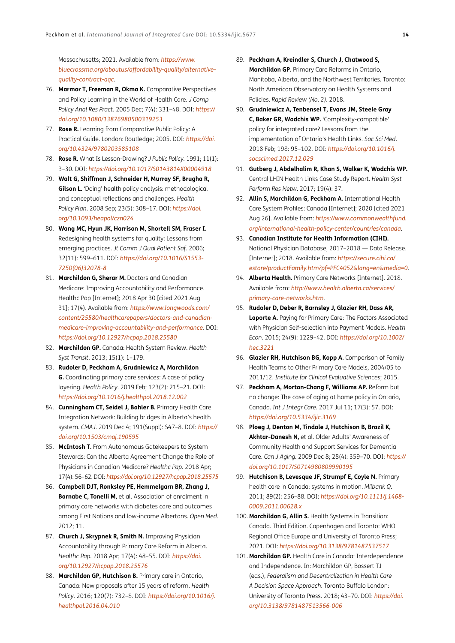<span id="page-13-0"></span>Massachusetts; 2021. Available from: *[https://www.](https://www.bluecrossma.org/aboutus/affordability-quality/alternative-quality-contract-aqc) [bluecrossma.org/aboutus/affordability-quality/alternative](https://www.bluecrossma.org/aboutus/affordability-quality/alternative-quality-contract-aqc)[quality-contract-aqc](https://www.bluecrossma.org/aboutus/affordability-quality/alternative-quality-contract-aqc)*.

- 76. **Marmor T, Freeman R, Okma K.** Comparative Perspectives and Policy Learning in the World of Health Care. *J Comp Policy Anal Res Pract*. 2005 Dec; 7(4): 331–48. DOI: *[https://](https://doi.org/10.1080/13876980500319253) [doi.org/10.1080/13876980500319253](https://doi.org/10.1080/13876980500319253)*
- 77. **Rose R.** Learning from Comparative Public Policy: A Practical Guide. London: Routledge; 2005. DOI: *[https://doi.](https://doi.org/10.4324/9780203585108) [org/10.4324/9780203585108](https://doi.org/10.4324/9780203585108)*
- 78. **Rose R.** What Is Lesson-Drawing? *J Public Policy*. 1991; 11(1): 3–30. DOI: *<https://doi.org/10.1017/S0143814X00004918>*
- 79. **Walt G, Shiffman J, Schneider H, Murray SF, Brugha R, Gilson L.** 'Doing' health policy analysis: methodological and conceptual reflections and challenges. *Health Policy Plan*. 2008 Sep; 23(5): 308–17. DOI: *[https://doi.](https://doi.org/10.1093/heapol/czn024) [org/10.1093/heapol/czn024](https://doi.org/10.1093/heapol/czn024)*
- 80. **Wang MC, Hyun JK, Harrison M, Shortell SM, Fraser I.** Redesigning health systems for quality: Lessons from emerging practices. *Jt Comm J Qual Patient Saf*. 2006; 32(11): 599–611. DOI: *[https://doi.org/10.1016/S1553-](https://doi.org/10.1016/S1553-7250(06)32078-8) [7250\(06\)32078-8](https://doi.org/10.1016/S1553-7250(06)32078-8)*
- 81. **Marchildon G, Sherar M.** Doctors and Canadian Medicare: Improving Accountability and Performance. Healthc Pap [Internet]; 2018 Apr 30 [cited 2021 Aug 31]; 17(4). Available from: *[https://www.longwoods.com/](https://www.longwoods.com/content/25580/healthcarepapers/doctors-and-canadian-medicare-improving-accountability-and-performance) [content/25580/healthcarepapers/doctors-and-canadian](https://www.longwoods.com/content/25580/healthcarepapers/doctors-and-canadian-medicare-improving-accountability-and-performance)[medicare-improving-accountability-and-performance](https://www.longwoods.com/content/25580/healthcarepapers/doctors-and-canadian-medicare-improving-accountability-and-performance)*. DOI: *<https://doi.org/10.12927/hcpap.2018.25580>*
- 82. **Marchildon GP.** Canada: Health System Review. *Health Syst Transit*. 2013; 15(1): 1–179.
- 83. **Rudoler D, Peckham A, Grudniewicz A, Marchildon G.** Coordinating primary care services: A case of policy layering. *Health Policy*. 2019 Feb; 123(2): 215–21. DOI: *<https://doi.org/10.1016/j.healthpol.2018.12.002>*
- 84. **Cunningham CT, Seidel J, Bahler B.** Primary Health Care Integration Network: Building bridges in Alberta's health system. *CMAJ*. 2019 Dec 4; 191(Suppl): S47–8. DOI: *[https://](https://doi.org/10.1503/cmaj.190595) [doi.org/10.1503/cmaj.190595](https://doi.org/10.1503/cmaj.190595)*
- 85. **McIntosh T.** From Autonomous Gatekeepers to System Stewards: Can the Alberta Agreement Change the Role of Physicians in Canadian Medicare? *Healthc Pap*. 2018 Apr; 17(4): 56–62. DOI: *<https://doi.org/10.12927/hcpap.2018.25575>*
- 86. **Campbell DJT, Ronksley PE, Hemmelgarn BR, Zhang J, Barnabe C, Tonelli M,** et al. Association of enrolment in primary care networks with diabetes care and outcomes among First Nations and low-income Albertans. *Open Med*. 2012; 11.
- 87. **Church J, Skrypnek R, Smith N.** Improving Physician Accountability through Primary Care Reform in Alberta. *Healthc Pap*. 2018 Apr; 17(4): 48–55. DOI: *[https://doi.](https://doi.org/10.12927/hcpap.2018.25576) [org/10.12927/hcpap.2018.25576](https://doi.org/10.12927/hcpap.2018.25576)*
- 88. **Marchildon GP, Hutchison B.** Primary care in Ontario, Canada: New proposals after 15 years of reform. *Health Policy*. 2016; 120(7): 732–8. DOI: *[https://doi.org/10.1016/j.](https://doi.org/10.1016/j.healthpol.2016.04.010) [healthpol.2016.04.010](https://doi.org/10.1016/j.healthpol.2016.04.010)*
- 89. **Peckham A, Kreindler S, Church J, Chatwood S, Marchildon GP.** Primary Care Reforms in Ontario, Manitoba, Alberta, and the Northwest Territories. Toronto: North American Observatory on Health Systems and Policies. *Rapid Review (No. 2)*. 2018.
- 90. **Grudniewicz A, Tenbensel T, Evans JM, Steele Gray C, Baker GR, Wodchis WP.** 'Complexity-compatible' policy for integrated care? Lessons from the implementation of Ontario's Health Links. *Soc Sci Med*. 2018 Feb; 198: 95–102. DOI: *[https://doi.org/10.1016/j.](https://doi.org/10.1016/j.socscimed.2017.12.029) [socscimed.2017.12.029](https://doi.org/10.1016/j.socscimed.2017.12.029)*
- 91. **Gutberg J, Abdelhalim R, Khan S, Walker K, Wodchis WP.**  Central LHIN Health Links Case Study Report. *Health Syst Perform Res Netw*. 2017; 19(4): 37.
- 92. **Allin S, Marchildon G, Peckham A.** International Health Care System Profiles: Canada [Internet]; 2020 [cited 2021 Aug 26]. Available from: *[https://www.commonwealthfund.](https://www.commonwealthfund.org/international-health-policy-center/countries/canada) [org/international-health-policy-center/countries/canada](https://www.commonwealthfund.org/international-health-policy-center/countries/canada)*.
- 93. **Canadian Institute for Health Information (CIHI).** National Physician Database, 2017–2018 — Data Release. [Internet]; 2018. Available from: *[https://secure.cihi.ca/](https://secure.cihi.ca/estore/productFamily.htm?pf=PFC4052&lang=en&media=0) [estore/productFamily.htm?pf=PFC4052&lang=en&media=0](https://secure.cihi.ca/estore/productFamily.htm?pf=PFC4052&lang=en&media=0)*.
- 94. **Alberta Health.** Primary Care Networks [Internet]. 2018. Available from: *[http://www.health.alberta.ca/services/](http://www.health.alberta.ca/services/primary-care-networks.htm) [primary-care-networks.htm](http://www.health.alberta.ca/services/primary-care-networks.htm)*.
- 95. **Rudoler D, Deber R, Barnsley J, Glazier RH, Dass AR, Laporte A.** Paying for Primary Care: The Factors Associated with Physician Self-selection into Payment Models. *Health Econ*. 2015; 24(9): 1229–42. DOI: *[https://doi.org/10.1002/](https://doi.org/10.1002/hec.3221) [hec.3221](https://doi.org/10.1002/hec.3221)*
- 96. **Glazier RH, Hutchison BG, Kopp A.** Comparison of Family Health Teams to Other Primary Care Models, 2004/05 to 2011/12. *Institute for Clinical Evaluative Sciences*; 2015.
- 97. **Peckham A, Morton-Chang F, Williams AP.** Reform but no change: The case of aging at home policy in Ontario, Canada. *Int J Integr Care*. 2017 Jul 11; 17(3): 57. DOI: *<https://doi.org/10.5334/ijic.3169>*
- 98. **Ploeg J, Denton M, Tindale J, Hutchison B, Brazil K, Akhtar-Danesh N,** et al. Older Adults' Awareness of Community Health and Support Services for Dementia Care. *Can J Aging*. 2009 Dec 8; 28(4): 359–70. DOI: *[https://](https://doi.org/10.1017/S0714980809990195) [doi.org/10.1017/S0714980809990195](https://doi.org/10.1017/S0714980809990195)*
- 99. **Hutchison B, Levesque JF, Strumpf E, Coyle N.** Primary health care in Canada: systems in motion. *Milbank Q*. 2011; 89(2): 256–88. DOI: *[https://doi.org/10.1111/j.1468-](https://doi.org/10.1111/j.1468-0009.2011.00628.x) [0009.2011.00628.x](https://doi.org/10.1111/j.1468-0009.2011.00628.x)*
- 100. **Marchildon G, Allin S.** Health Systems in Transition: Canada. Third Edition. Copenhagen and Toronto: WHO Regional Office Europe and University of Toronto Press; 2021. DOI: *<https://doi.org/10.3138/9781487537517>*
- 101. **Marchildon GP.** Health Care in Canada: Interdependence and Independence. In: Marchildon GP, Bossert TJ (eds.), *Federalism and Decentralization in Health Care A Decision Space Approach*. Toronto Buffalo London: University of Toronto Press. 2018; 43–70. DOI: *[https://doi.](https://doi.org/10.3138/9781487513566-006) [org/10.3138/9781487513566-006](https://doi.org/10.3138/9781487513566-006)*